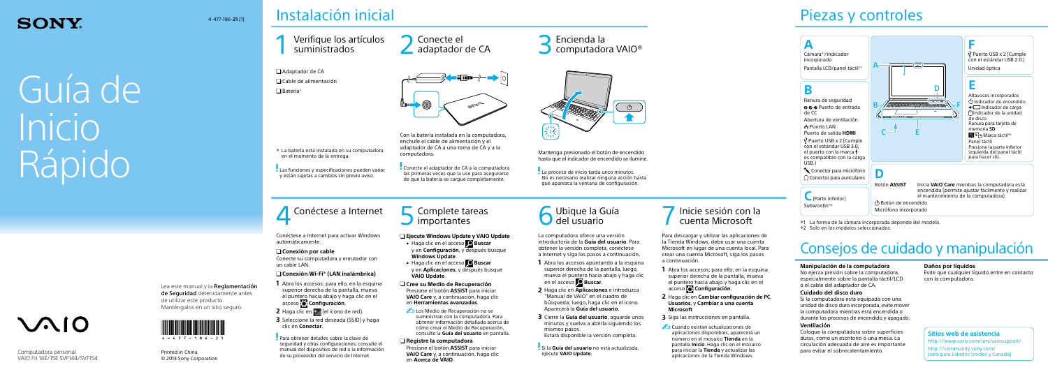# Guía de Inicio Rápido

#### Lea este manual y la Reglamentación de Seguridad detenidamente antes de utilizar este producto. Manténgalos en un sitio seguro.

 Adaptador de CA Cable de alimentación  $\Box$  Batería\*



### Instalación inicial

# 1 Verifique los artículos 2 Conecte el suministrados

adaptador de CA 3 Encienda la 3 Encienda la 3 Encienda la 3 Encienda la 3 Encienda la 3 Encienda la 3 Encienda la





Printed in China © 2013 Sony Corporation

### Piezas y controles

Con la batería instalada en la computadora, enchufe el cable de alimentación y el adaptador de CA a una toma de CA y a la computadora.

Conecte el adaptador de CA a la computadora las primeras veces que la use para asegurarse de que la batería se cargue completamente.

**4** Conéctese a Internet **6** Complete tareas **1988** Ubique la Guía **1989 Ubique la Guía del usuario del usuario del viene del viene del viene del viene del viene del viene del viene del viene del viene del viene del viene** 

Mantenga presionado el botón de encendido hasta que el indicador de encendido se ilumine.

La proceso de inicio tarda unos minutos. No es necesario realizar ninguna acción hasta que aparezca la ventana de configuración.

**Para obtener detalles sobre la clave de** seguridad y otras configuraciones, consulte el manual del dispositivo de red o la información de su proveedor del servicio de Internet.

### $\Box$  Complete tareas **I** importantes

4-477-186-**21** (1)



La batería está instalada en su computadora

en el momento de la entrega.

Las funciones y especificaciones pueden variar y están sujetas a cambios sin previo aviso.

### **SONY**

Computadora personal VAIO Fit 14E/15E SVF144/SVF154

 $\mathcal{M}$ 10

### cuenta Microsoft

Conéctese a Internet para activar Windows automáticamente.

### **Conexión por cable**

Conecte su computadora y enrutador con un cable LAN.

### **Conexión Wi-Fi® (LAN inalámbrica)**

- **1** Abra los accesos; para ello, en la esquina superior derecha de la pantalla, mueva el puntero hacia abajo y haga clic en el acceso **Configuración**.
- **2** Haga clic en  $*$  (el ícono de red).
- **3** Seleccione la red deseada (SSID) y haga clic en **Conectar**.

Para descargar y utilizar las aplicaciones de la Tienda Windows, debe usar una cuenta Microsoft en lugar de una cuenta local. Para crear una cuenta Microsoft, siga los pasos a continuación.

- **1** Abra los accesos; para ello, en la esquina superior derecha de la pantalla, mueva el puntero hacia abajo y haga clic en el acceso **Configuración**.
- **2** Haga clic en **Cambiar configuración de PC**, **Usuarios**, y **Cambiar a una cuenta Microsoft**.
- **3** Siga las instrucciones en pantalla.
- **Cuando existan actualizaciones de** aplicaciones disponibles, aparecerá un número en el mosaico **Tienda** en la pantalla **Inicio**. Haga clic en el mosaico para iniciar la **Tienda** y actualizar las aplicaciones de la Tienda Windows.

La computadora ofrece una versión introductoria de la **Guía del usuario**. Para obtener la versión completa, conéctese a Internet y siga los pasos a continuación.

**1** Abra los accesos apuntando a la esquina superior derecha de la pantalla, luego, mueva el puntero hacia abajo y haga clic en el acceso **Buscar**.

**2** Haga clic en **Aplicaciones** e introduzca "Manual de VAIO" en el cuadro de búsqueda; luego, haga clic en el icono. Aparecerá la **Guía del usuario**.

**3** Cierre la **Guía del usuario**, aguarde unos minutos y vuelva a abrirla siguiendo los

- 
- 
- mismos pasos.

Estará disponible la versión completa.

Si la **Guía del usuario** no está actualizada, ejecute **VAIO Update**.



### **Ejecute Windows Update y VAIO Update**

- Haga clic en el acceso **Buscar** y en **Configuración**, y después busque **Windows Update**.
- **Haga clic en el acceso D** Buscar y en **Aplicaciones**, y después busque **VAIO Update**.
- **Cree su Medio de Recuperación** Presione el botón **ASSIST** para iniciar **VAIO Care** y, a continuación, haga clic en **Herramientas avanzadas**.
- **La Los Medio de Recuperación no se** suministran con la computadora. Para obtener información detallada acerca de cómo crear el Medio de Recuperación, consulte la **Guía del usuario** en pantalla.

#### **Registre la computadora**

Presione el botón **ASSIST** para iniciar **VAIO Care** y, a continuación, haga clic en **Acerca de VAIO**.

### Consejos de cuidado y manipulación

#### **Manipulación de la computadora**

No ejerza presión sobre la computadora, especialmente sobre la pantalla táctil/LCD o el cable del adaptador de CA.

### **Cuidado del disco duro**

Si la computadora está equipada con una unidad de disco duro incorporada, evite mover la computadora mientras está encendida o durante los procesos de encendido y apagado.

#### **Ventilación**

Coloque la computadora sobre superficies duras, como un escritorio o una mesa. La circulación adecuada de aire es importante para evitar el sobrecalentamiento.

### **Daños por líquidos**

Evite que cualquier líquido entre en contacto con la computadora.

### **Sitios web de asistencia**

http://www.sony.com/am/vaiosupport/

http://community.sony.com/ (solo para Estados Unidos y Canadá)



1 La forma de la cámara incorporada depende del modelo.

2 Solo en los modelos seleccionados.